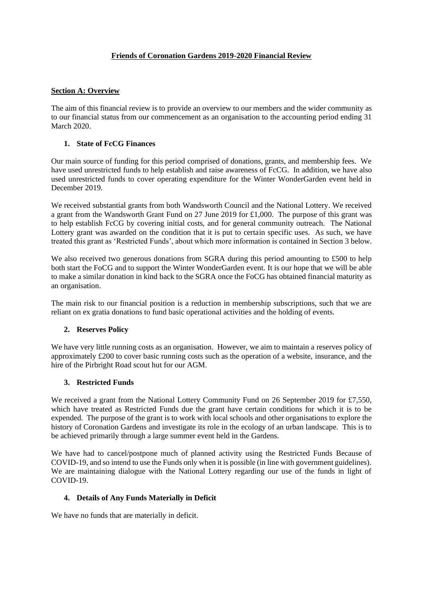# **Friends of Coronation Gardens 2019-2020 Financial Review**

## **Section A: Overview**

The aim of this financial review is to provide an overview to our members and the wider community as to our financial status from our commencement as an organisation to the accounting period ending 31 March 2020.

### **1. State of FcCG Finances**

Our main source of funding for this period comprised of donations, grants, and membership fees. We have used unrestricted funds to help establish and raise awareness of FcCG. In addition, we have also used unrestricted funds to cover operating expenditure for the Winter WonderGarden event held in December 2019.

We received substantial grants from both Wandsworth Council and the National Lottery. We received a grant from the Wandsworth Grant Fund on 27 June 2019 for £1,000. The purpose of this grant was to help establish FcCG by covering initial costs, and for general community outreach. The National Lottery grant was awarded on the condition that it is put to certain specific uses. As such, we have treated this grant as 'Restricted Funds', about which more information is contained in Section 3 below.

We also received two generous donations from SGRA during this period amounting to  $£500$  to help both start the FoCG and to support the Winter WonderGarden event. It is our hope that we will be able to make a similar donation in kind back to the SGRA once the FoCG has obtained financial maturity as an organisation.

The main risk to our financial position is a reduction in membership subscriptions, such that we are reliant on ex gratia donations to fund basic operational activities and the holding of events.

#### **2. Reserves Policy**

We have very little running costs as an organisation. However, we aim to maintain a reserves policy of approximately £200 to cover basic running costs such as the operation of a website, insurance, and the hire of the Pirbright Road scout hut for our AGM.

#### **3. Restricted Funds**

We received a grant from the National Lottery Community Fund on 26 September 2019 for £7,550, which have treated as Restricted Funds due the grant have certain conditions for which it is to be expended. The purpose of the grant is to work with local schools and other organisations to explore the history of Coronation Gardens and investigate its role in the ecology of an urban landscape. This is to be achieved primarily through a large summer event held in the Gardens.

We have had to cancel/postpone much of planned activity using the Restricted Funds Because of COVID-19, and so intend to use the Funds only when it is possible (in line with government guidelines). We are maintaining dialogue with the National Lottery regarding our use of the funds in light of COVID-19.

# **4. Details of Any Funds Materially in Deficit**

We have no funds that are materially in deficit.